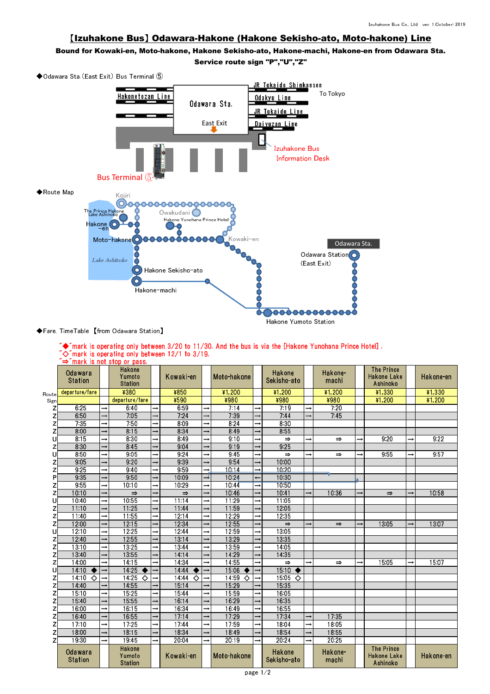## 【Izuhakone Bus】 Odawara-Hakone (Hakone Sekisho-ato, Moto-hakone) Line

Bound for Kowaki-en, Moto-hakone, Hakone Sekisho-ato, Hakone-machi, Hakone-en from Odawara Sta.

Service route sign "P","U","Z"



## ◆Fare, TimeTable 【from Odawara Station】

|  |                                                                                       |  |  |  |  |  | $\tilde{\blacklozenge}$ mark is operating only between 3/20 to 11/30. And the bus is via the [Hakone Yunohana Prince Hotel]. |  |
|--|---------------------------------------------------------------------------------------|--|--|--|--|--|------------------------------------------------------------------------------------------------------------------------------|--|
|  | $\tilde{\ }\diamond$ $\sim$ $\tilde{\ }$ mark is operating only between 12/1 to 3/19. |  |  |  |  |  |                                                                                                                              |  |
|  | $\tilde{} \Rightarrow$ "mark is not stop or pass.                                     |  |  |  |  |  |                                                                                                                              |  |
|  |                                                                                       |  |  |  |  |  |                                                                                                                              |  |

|       | <b>Odawara</b><br><b>Station</b> |               | Hakone<br>Yumoto<br><b>Station</b> |               | Kowaki en         |               | Moto-hakone        |               | Hakone<br>Sekisho ato |               | Hakone<br>machi |               | <b>The Prince</b><br>Hakone Lake<br>Ashinoko        |               | Hakone en |
|-------|----------------------------------|---------------|------------------------------------|---------------|-------------------|---------------|--------------------|---------------|-----------------------|---------------|-----------------|---------------|-----------------------------------------------------|---------------|-----------|
| Route | departure/fare                   |               | ¥380                               |               | ¥850              |               | ¥1 200             |               | ¥1,200                |               | ¥1,200          |               | 41,330                                              |               | ¥1,330    |
| Sign  |                                  |               | departure/fare                     |               | ¥590              |               | ¥980               |               | ¥980                  |               | ¥980            |               | $*1,200$                                            |               | ¥1,200    |
| z     | 6.25                             | $\rightarrow$ | 6.40                               | $\rightarrow$ | 6.59              | $\rightarrow$ | 7:14               | $\rightarrow$ | 7.19                  | $\rightarrow$ | 7:20            |               |                                                     |               |           |
| z     | 6:50                             | $\rightarrow$ | 7:05                               | $\rightarrow$ | 7.24              | $\rightarrow$ | 7:39               | $\rightarrow$ | 7.44                  | $\rightarrow$ | 7.45            |               |                                                     |               |           |
| Z     | 7:35                             | $\rightarrow$ | 7.50                               | $\rightarrow$ | 8.09              | $\rightarrow$ | 8.24               | $\rightarrow$ | 8.30                  |               |                 |               |                                                     |               |           |
| Z     | 8:00                             |               | 8.15                               | $\rightarrow$ | 8.34              |               | 8:49               |               | 8:55                  |               |                 |               |                                                     |               |           |
| Ù     | 8:15                             |               | 8:30                               | $\rightarrow$ | 8:49              |               | 9:10               |               | $\Rightarrow$         |               | $\Rightarrow$   |               | 9:20                                                |               | 9:22      |
| z     | 8.30                             |               | 8.45                               | $\rightarrow$ | 9.04              |               | 9:19               |               | 9.25                  |               |                 |               |                                                     |               |           |
| U     | 8.50                             | $\rightarrow$ | 9.05                               | $\rightarrow$ | 9.24              |               | 9:45               |               | $\Rightarrow$         | $\rightarrow$ | $\Rightarrow$   | $\rightarrow$ | 9:55                                                | $\rightarrow$ | 9:57      |
| z     | 9.05                             |               | 9.20                               | $\rightarrow$ | 9.39              |               | 9.54               |               | 10:00                 |               |                 |               |                                                     |               |           |
| Z     | 9.25                             |               | 9:40                               | $\rightarrow$ | 9.59              |               | 10.14              |               | 10:20                 |               |                 |               |                                                     |               |           |
| P     | 9:35                             |               | 9.50                               | $\rightarrow$ | 10:09             |               | 10:24              |               | 10:30                 |               |                 |               |                                                     |               |           |
| z     | 9:55                             | $\rightarrow$ | 10:10                              | $\rightarrow$ | 10:29             |               | 10.44              | $\rightarrow$ | 1050                  |               |                 |               |                                                     |               |           |
| Z     | 10:10                            | $\rightarrow$ | $\Rightarrow$                      | $\rightarrow$ | $\Rightarrow$     |               | 10.46              |               | 10.41                 | $\rightarrow$ | 10:36           | $\rightarrow$ | $\Rightarrow$                                       | $\rightarrow$ | 10:58     |
| Ū     | 10:40                            | $\rightarrow$ | 10.55                              | $\rightarrow$ | 11.14             | $\rightarrow$ | 11.29              | $\rightarrow$ | 11.05                 |               |                 |               |                                                     |               |           |
| z     | 11:10                            |               | 11:25                              | $\rightarrow$ | 1144              |               | 11.59              |               | 12.05                 |               |                 |               |                                                     |               |           |
| Z     | 11:40                            |               | 11.55                              | $\rightarrow$ | 12:14             |               | 12:29              |               | 12:35                 |               |                 |               |                                                     |               |           |
| Z     | 12:00                            | $\rightarrow$ | 12:15                              | $\rightarrow$ | 12:34             |               | 12:55              |               | $\Rightarrow$         | $\rightarrow$ | $\Rightarrow$   | $\rightarrow$ | 13:05                                               | $\rightarrow$ | 13:07     |
| Ù     | 12:10                            | $\rightarrow$ | 12.25                              | $\rightarrow$ | 12:44             | $\rightarrow$ | 12:59              | $\rightarrow$ | 13:05                 |               |                 |               |                                                     |               |           |
| z     | 12:40                            |               | 12.55                              | $\rightarrow$ | 13.14             |               | 13.29              |               | 13.35                 |               |                 |               |                                                     |               |           |
| Z     | 13:10                            |               | 13.25                              | $\rightarrow$ | 1344              |               | 13.59              |               | 14 05                 |               |                 |               |                                                     |               |           |
| Z     | 13:40                            |               | 13:55                              | $\rightarrow$ | 14.14             |               | 14:29              |               | 14:35                 |               |                 |               |                                                     |               |           |
| Z     | 14:00                            | $\rightarrow$ | 14:15                              | $\rightarrow$ | 14:34             | $\rightarrow$ | 14.55              |               | $\Rightarrow$         |               | $\Rightarrow$   | $\rightarrow$ | 15:05                                               | $\rightarrow$ | 15:07     |
| Ū     | 14:10<br>$\bullet$               | $\rightarrow$ | 14:25<br>$\bullet$                 | $\rightarrow$ | $14.44$ $\bullet$ | $\rightarrow$ | 15:06<br>$\bullet$ |               | $15.10 \bullet$       |               |                 |               |                                                     |               |           |
| z     | 14:10<br>$\Diamond$              | $\rightarrow$ | 14.25<br>♦                         | $\rightarrow$ | 14.44<br>♦        | $\rightarrow$ | 14:59<br>♦         | $\rightarrow$ | $15.05 \diamond$      |               |                 |               |                                                     |               |           |
| Z     | 14:40                            |               | 14:55                              | $\rightarrow$ | 15.14             |               | 15:29              |               | 15.35                 |               |                 |               |                                                     |               |           |
| Z     | 1510                             |               | 15.25                              | $\rightarrow$ | 15:44             |               | 15.59              |               | 16:05                 |               |                 |               |                                                     |               |           |
| Z     | 15:40                            |               | 1555                               | $\rightarrow$ | 16.14             |               | 16.29              |               | 16.35                 |               |                 |               |                                                     |               |           |
| Z     | 16:00                            | $\rightarrow$ | 16:15                              | $\rightarrow$ | 16:34             | $\rightarrow$ | 1649               |               | 1655                  |               |                 |               |                                                     |               |           |
| Z     | 16:40                            |               | 16:55                              | $\rightarrow$ | 17.14             |               | 17.29              |               | 17.34                 | $\rightarrow$ | 17.35           |               |                                                     |               |           |
| Z     | 17:10                            |               | 17.25                              | $\rightarrow$ | 17.44             |               | 17.59              |               | 18:04                 |               | 18:05           |               |                                                     |               |           |
| Z     | 18:00                            |               | 18.15                              | $\rightarrow$ | 18:34             |               | 18:49              |               | 18.54                 |               | 18:55           |               |                                                     |               |           |
| Z     | 19:30                            |               | 19:45                              | $\rightarrow$ | 20:04             |               | 20:19              |               | 20:24                 | $\rightarrow$ | 2025            |               |                                                     |               |           |
|       | Odawara<br><b>Station</b>        |               | Hakone<br>Yumoto<br><b>Station</b> |               | Kowaki-en         |               | Moto-hakone        |               | Hakone<br>Sekisho ato |               | Hakone<br>machi |               | <b>The Prince</b><br><b>Hakone Lake</b><br>Ashinoko |               | Hakone en |